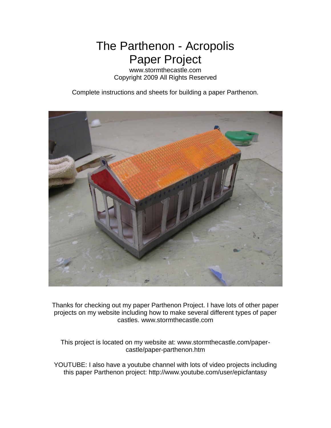The Parthenon - Acropolis Paper Project

www.stormthecastle.com Copyright 2009 All Rights Reserved

Complete instructions and sheets for building a paper Parthenon.



Thanks for checking out my paper Parthenon Project. I have lots of other paper projects on my website including how to make several different types of paper castles. www.stormthecastle.com

This project is located on my website at: www.stormthecastle.com/papercastle/paper-parthenon.htm

YOUTUBE: I also have a youtube channel with lots of video projects including this paper Parthenon project: http://www.youtube.com/user/epicfantasy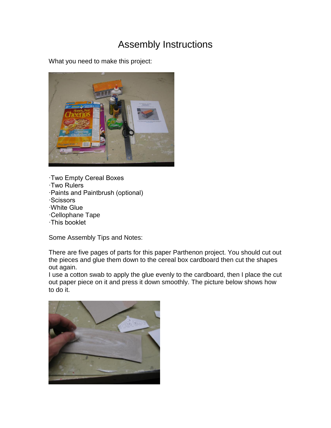## Assembly Instructions

What you need to make this project:



·Two Empty Cereal Boxes ·Two Rulers ·Paints and Paintbrush (optional) ·Scissors ·White Glue ·Cellophane Tape ·This booklet

Some Assembly Tips and Notes:

There are five pages of parts for this paper Parthenon project. You should cut out the pieces and glue them down to the cereal box cardboard then cut the shapes out again.

I use a cotton swab to apply the glue evenly to the cardboard, then I place the cut out paper piece on it and press it down smoothly. The picture below shows how to do it.

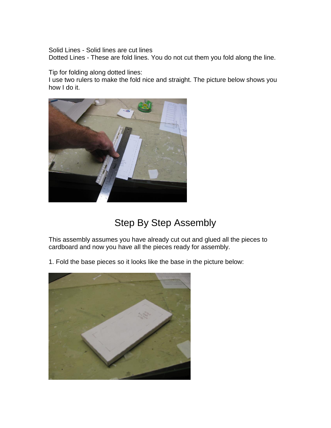Solid Lines - Solid lines are cut lines

Dotted Lines - These are fold lines. You do not cut them you fold along the line.

Tip for folding along dotted lines:

I use two rulers to make the fold nice and straight. The picture below shows you how I do it.



## Step By Step Assembly

This assembly assumes you have already cut out and glued all the pieces to cardboard and now you have all the pieces ready for assembly.

1. Fold the base pieces so it looks like the base in the picture below:

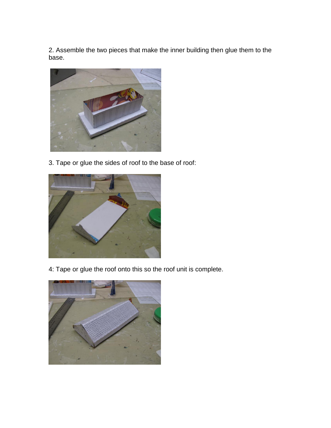2. Assemble the two pieces that make the inner building then glue them to the base.



3. Tape or glue the sides of roof to the base of roof:



4: Tape or glue the roof onto this so the roof unit is complete.

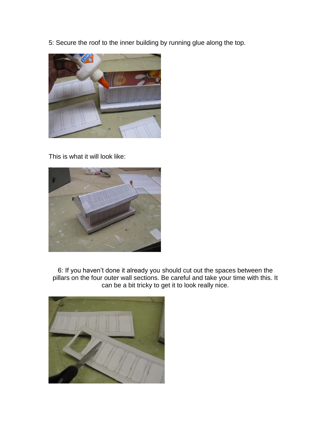5: Secure the roof to the inner building by running glue along the top.



This is what it will look like:



6: If you haven't done it already you should cut out the spaces between the pillars on the four outer wall sections. Be careful and take your time with this. It can be a bit tricky to get it to look really nice.

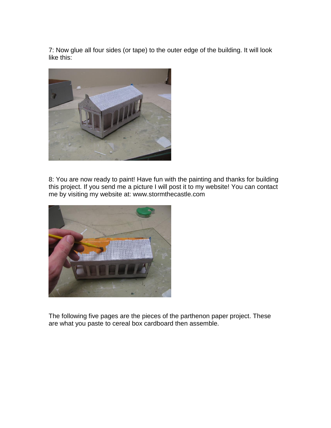7: Now glue all four sides (or tape) to the outer edge of the building. It will look like this:



8: You are now ready to paint! Have fun with the painting and thanks for building this project. If you send me a picture I will post it to my website! You can contact me by visiting my website at: www.stormthecastle.com



The following five pages are the pieces of the parthenon paper project. These are what you paste to cereal box cardboard then assemble.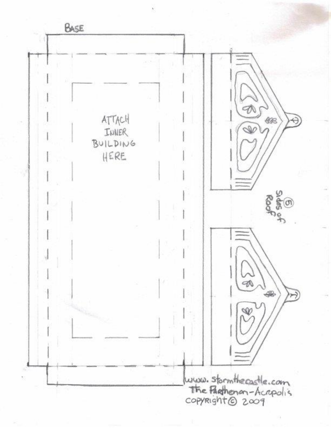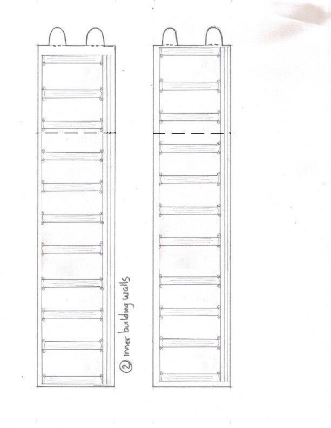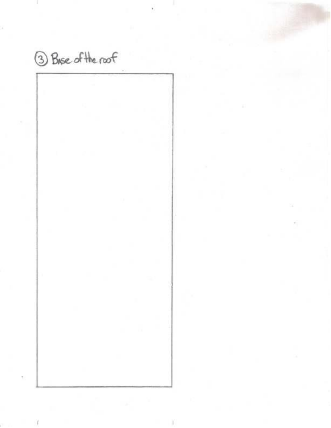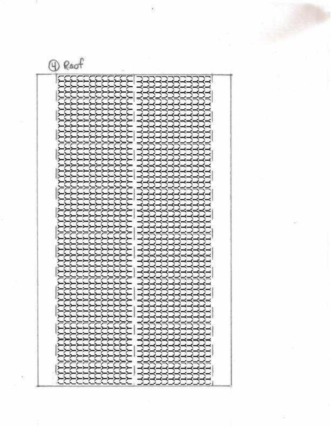

Roof